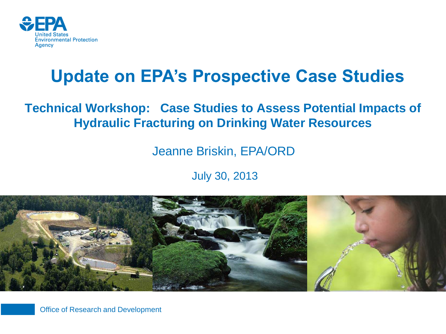

### **Update on EPA's Prospective Case Studies**

#### **Technical Workshop: Case Studies to Assess Potential Impacts of Hydraulic Fracturing on Drinking Water Resources**

Jeanne Briskin, EPA/ORD

July 30, 2013



Office of Research and Development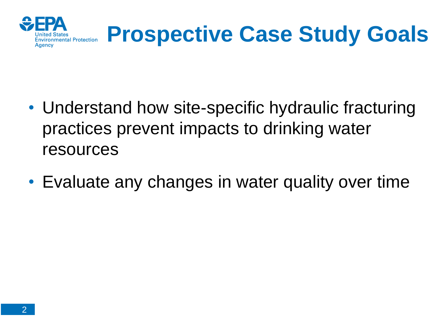

## **Prospective Case Study Goals**

- Understand how site-specific hydraulic fracturing practices prevent impacts to drinking water resources
- Evaluate any changes in water quality over time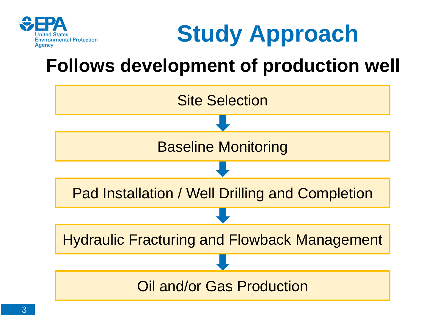



### **Follows development of production well**

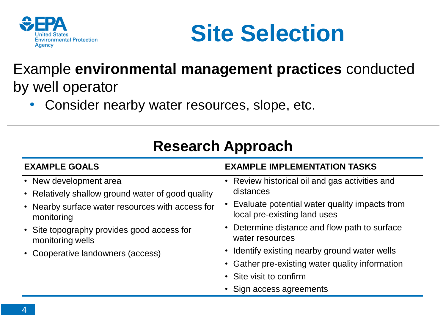



#### Example **environmental management practices** conducted by well operator

• Consider nearby water resources, slope, etc.

| <b>EXAMPLE GOALS</b>                                                                                                                                                                                                                                 | <b>EXAMPLE IMPLEMENTATION TASKS</b>                                                                                                                                                                                                                                                                                                                                           |
|------------------------------------------------------------------------------------------------------------------------------------------------------------------------------------------------------------------------------------------------------|-------------------------------------------------------------------------------------------------------------------------------------------------------------------------------------------------------------------------------------------------------------------------------------------------------------------------------------------------------------------------------|
| • New development area<br>• Relatively shallow ground water of good quality<br>• Nearby surface water resources with access for<br>monitoring<br>• Site topography provides good access for<br>monitoring wells<br>• Cooperative landowners (access) | • Review historical oil and gas activities and<br>distances<br>• Evaluate potential water quality impacts from<br>local pre-existing land uses<br>• Determine distance and flow path to surface<br>water resources<br>• Identify existing nearby ground water wells<br>• Gather pre-existing water quality information<br>• Site visit to confirm<br>• Sign access agreements |
|                                                                                                                                                                                                                                                      |                                                                                                                                                                                                                                                                                                                                                                               |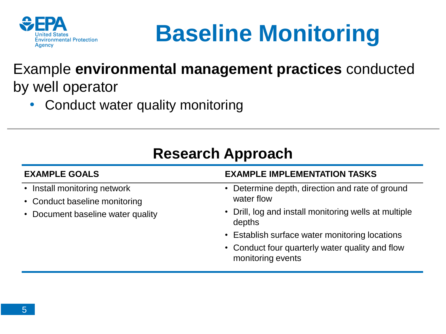

## **Baseline Monitoring**

#### Example **environmental management practices** conducted by well operator

• Conduct water quality monitoring

| <b>EXAMPLE GOALS</b>                                                                               | <b>EXAMPLE IMPLEMENTATION TASKS</b>                                  |
|----------------------------------------------------------------------------------------------------|----------------------------------------------------------------------|
| • Install monitoring network<br>• Conduct baseline monitoring<br>• Document baseline water quality | • Determine depth, direction and rate of ground<br>water flow        |
|                                                                                                    | • Drill, log and install monitoring wells at multiple<br>depths      |
|                                                                                                    | • Establish surface water monitoring locations                       |
|                                                                                                    | • Conduct four quarterly water quality and flow<br>monitoring events |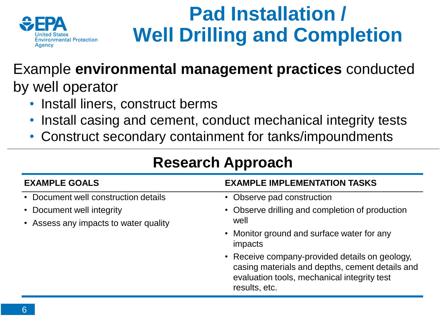

### **Pad Installation / Well Drilling and Completion**

#### Example **environmental management practices** conducted by well operator

- Install liners, construct berms
- Install casing and cement, conduct mechanical integrity tests
- Construct secondary containment for tanks/impoundments

| ncəcarul Appruaul                                                  |                                                                                                                                                                   |  |
|--------------------------------------------------------------------|-------------------------------------------------------------------------------------------------------------------------------------------------------------------|--|
| <b>EXAMPLE GOALS</b>                                               | <b>EXAMPLE IMPLEMENTATION TASKS</b>                                                                                                                               |  |
| • Document well construction details                               | • Observe pad construction                                                                                                                                        |  |
| • Document well integrity<br>• Assess any impacts to water quality | • Observe drilling and completion of production<br>well                                                                                                           |  |
|                                                                    | • Monitor ground and surface water for any<br>impacts                                                                                                             |  |
|                                                                    | • Receive company-provided details on geology,<br>casing materials and depths, cement details and<br>evaluation tools, mechanical integrity test<br>results, etc. |  |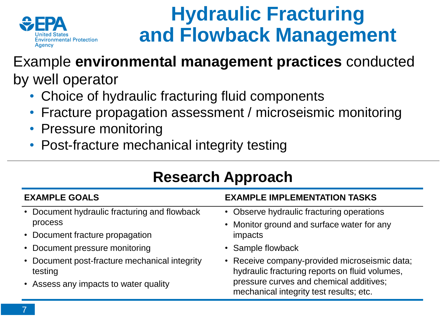

### **Hydraulic Fracturing and Flowback Management**

#### Example **environmental management practices** conducted by well operator

- Choice of hydraulic fracturing fluid components
- Fracture propagation assessment / microseismic monitoring
- Pressure monitoring
- Post-fracture mechanical integrity testing

| <b>Research Approach</b>                                                                                                     |                                                                                                                                                                                       |  |
|------------------------------------------------------------------------------------------------------------------------------|---------------------------------------------------------------------------------------------------------------------------------------------------------------------------------------|--|
| <b>EXAMPLE GOALS</b>                                                                                                         | <b>EXAMPLE IMPLEMENTATION TASKS</b>                                                                                                                                                   |  |
| • Document hydraulic fracturing and flowback<br>process<br>• Document fracture propagation<br>• Document pressure monitoring | • Observe hydraulic fracturing operations<br>• Monitor ground and surface water for any<br>impacts<br>• Sample flowback                                                               |  |
| • Document post-fracture mechanical integrity<br>testing<br>• Assess any impacts to water quality                            | • Receive company-provided microseismic data;<br>hydraulic fracturing reports on fluid volumes,<br>pressure curves and chemical additives;<br>mechanical integrity test results; etc. |  |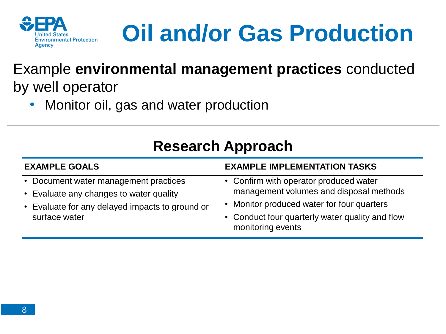

# **Oil and/or Gas Production**

#### Example **environmental management practices** conducted by well operator

• Monitor oil, gas and water production

| <b>EXAMPLE GOALS</b>                                                                                                                                 | <b>EXAMPLE IMPLEMENTATION TASKS</b>                                                                                                                                                                     |
|------------------------------------------------------------------------------------------------------------------------------------------------------|---------------------------------------------------------------------------------------------------------------------------------------------------------------------------------------------------------|
| • Document water management practices<br>• Evaluate any changes to water quality<br>• Evaluate for any delayed impacts to ground or<br>surface water | • Confirm with operator produced water<br>management volumes and disposal methods<br>• Monitor produced water for four quarters<br>• Conduct four quarterly water quality and flow<br>monitoring events |
|                                                                                                                                                      |                                                                                                                                                                                                         |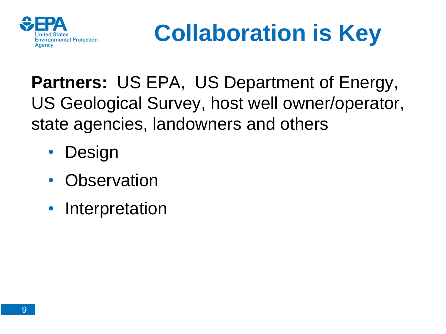

# **Collaboration is Key**

**Partners:** US EPA, US Department of Energy, US Geological Survey, host well owner/operator, state agencies, landowners and others

- **Design**
- Observation
- Interpretation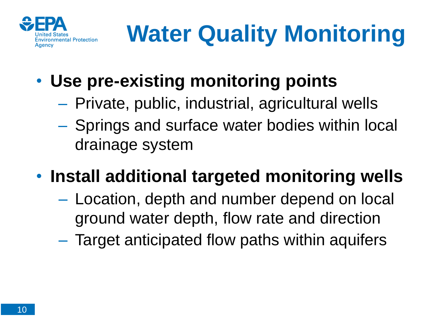

- **Use pre-existing monitoring points** 
	- Private, public, industrial, agricultural wells
	- Springs and surface water bodies within local drainage system

### • **Install additional targeted monitoring wells**

- Location, depth and number depend on local ground water depth, flow rate and direction
- Target anticipated flow paths within aquifers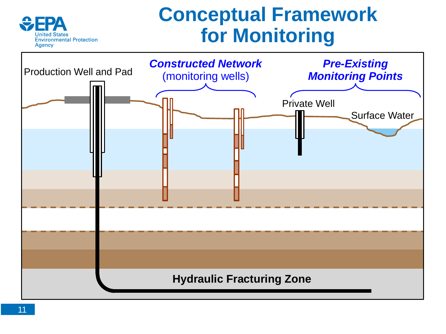### **Conceptual Framework for Monitoring**



**Environmental Protection** 

Agency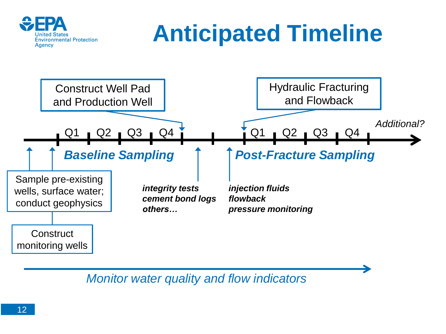

## **Anticipated Timeline**



*Monitor water quality and flow indicators*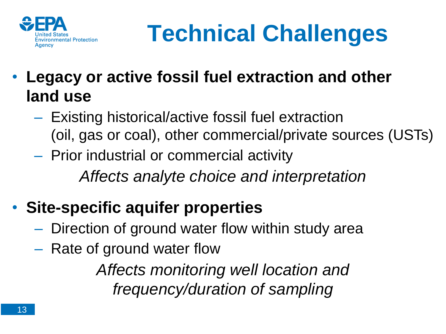

## **Technical Challenges**

- **Legacy or active fossil fuel extraction and other land use** 
	- Existing historical/active fossil fuel extraction (oil, gas or coal), other commercial/private sources (USTs)
	- Prior industrial or commercial activity *Affects analyte choice and interpretation*
- **Site-specific aquifer properties** 
	- Direction of ground water flow within study area
	- Rate of ground water flow

*Affects monitoring well location and frequency/duration of sampling*